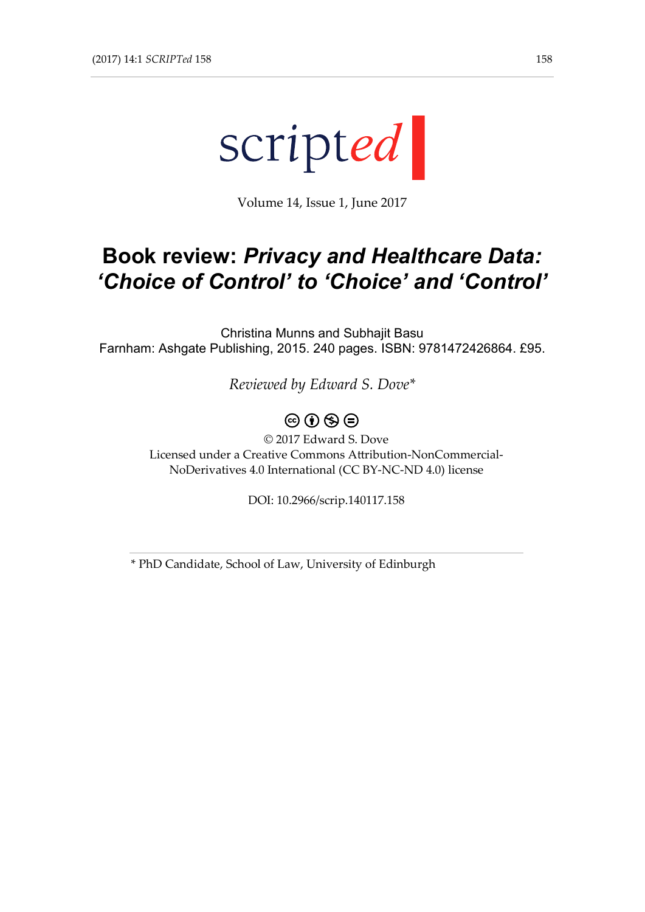

Volume 14, Issue 1, June 2017

## **Book review:** *Privacy and Healthcare Data: 'Choice of Control' to 'Choice' and 'Control'*

Christina Munns and Subhajit Basu Farnham: Ashgate Publishing, 2015. 240 pages. ISBN: 9781472426864. £95.

*Reviewed by Edward S. Dove\**

 $\circledcirc$  (i)  $\circledcirc$   $\circledcirc$ 

© 2017 Edward S. Dove Licensed under a Creative Commons Attribution-NonCommercial-NoDerivatives 4.0 International (CC BY-NC-ND 4.0) license

DOI: 10.2966/scrip.140117.158

\* PhD Candidate, School of Law, University of Edinburgh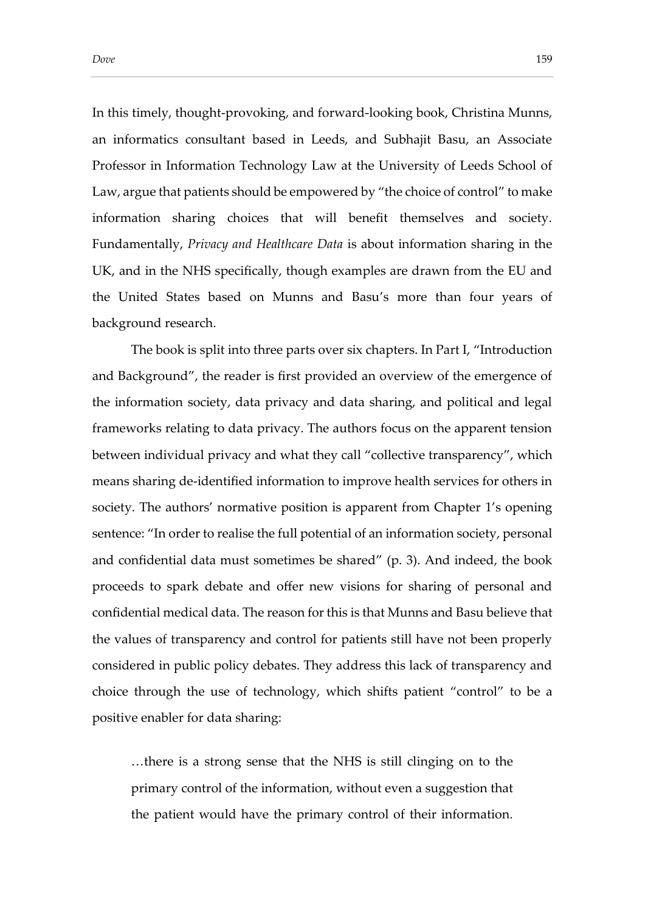In this timely, thought-provoking, and forward-looking book, Christina Munns, an informatics consultant based in Leeds, and Subhajit Basu, an Associate Professor in Information Technology Law at the University of Leeds School of Law, argue that patients should be empowered by "the choice of control" to make information sharing choices that will benefit themselves and society. Fundamentally, *Privacy and Healthcare Data* is about information sharing in the UK, and in the NHS specifically, though examples are drawn from the EU and the United States based on Munns and Basu's more than four years of background research.

The book is split into three parts over six chapters. In Part I, "Introduction and Background", the reader is first provided an overview of the emergence of the information society, data privacy and data sharing, and political and legal frameworks relating to data privacy. The authors focus on the apparent tension between individual privacy and what they call "collective transparency", which means sharing de-identified information to improve health services for others in society. The authors' normative position is apparent from Chapter 1's opening sentence: "In order to realise the full potential of an information society, personal and confidential data must sometimes be shared" (p. 3). And indeed, the book proceeds to spark debate and offer new visions for sharing of personal and confidential medical data. The reason for this is that Munns and Basu believe that the values of transparency and control for patients still have not been properly considered in public policy debates. They address this lack of transparency and choice through the use of technology, which shifts patient "control" to be a positive enabler for data sharing:

…there is a strong sense that the NHS is still clinging on to the primary control of the information, without even a suggestion that the patient would have the primary control of their information.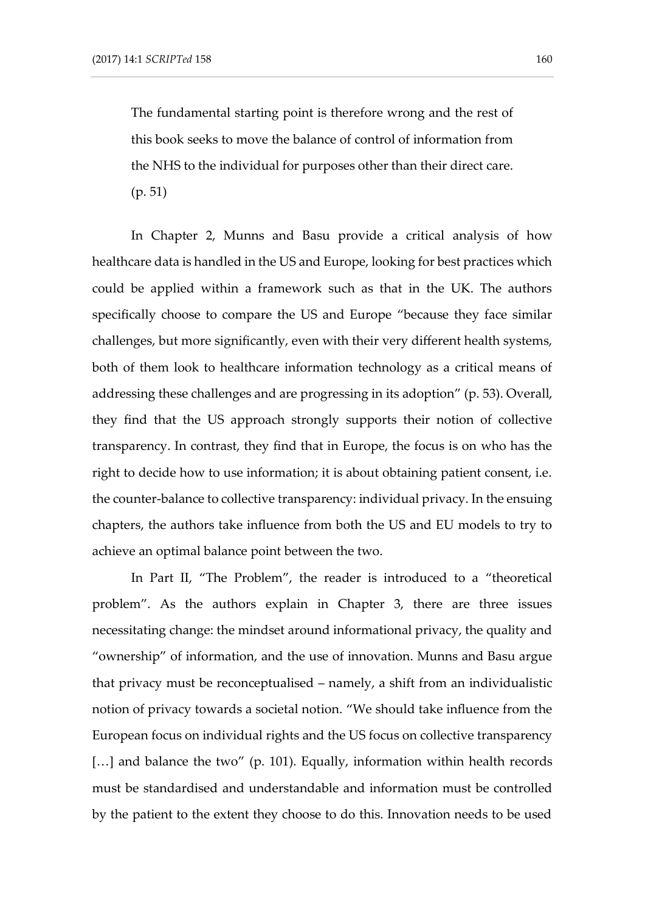The fundamental starting point is therefore wrong and the rest of this book seeks to move the balance of control of information from the NHS to the individual for purposes other than their direct care. (p. 51)

In Chapter 2, Munns and Basu provide a critical analysis of how healthcare data is handled in the US and Europe, looking for best practices which could be applied within a framework such as that in the UK. The authors specifically choose to compare the US and Europe "because they face similar challenges, but more significantly, even with their very different health systems, both of them look to healthcare information technology as a critical means of addressing these challenges and are progressing in its adoption" (p. 53). Overall, they find that the US approach strongly supports their notion of collective transparency. In contrast, they find that in Europe, the focus is on who has the right to decide how to use information; it is about obtaining patient consent, i.e. the counter-balance to collective transparency: individual privacy. In the ensuing chapters, the authors take influence from both the US and EU models to try to achieve an optimal balance point between the two.

In Part II, "The Problem", the reader is introduced to a "theoretical problem". As the authors explain in Chapter 3, there are three issues necessitating change: the mindset around informational privacy, the quality and "ownership" of information, and the use of innovation. Munns and Basu argue that privacy must be reconceptualised – namely, a shift from an individualistic notion of privacy towards a societal notion. "We should take influence from the European focus on individual rights and the US focus on collective transparency [...] and balance the two" (p. 101). Equally, information within health records must be standardised and understandable and information must be controlled by the patient to the extent they choose to do this. Innovation needs to be used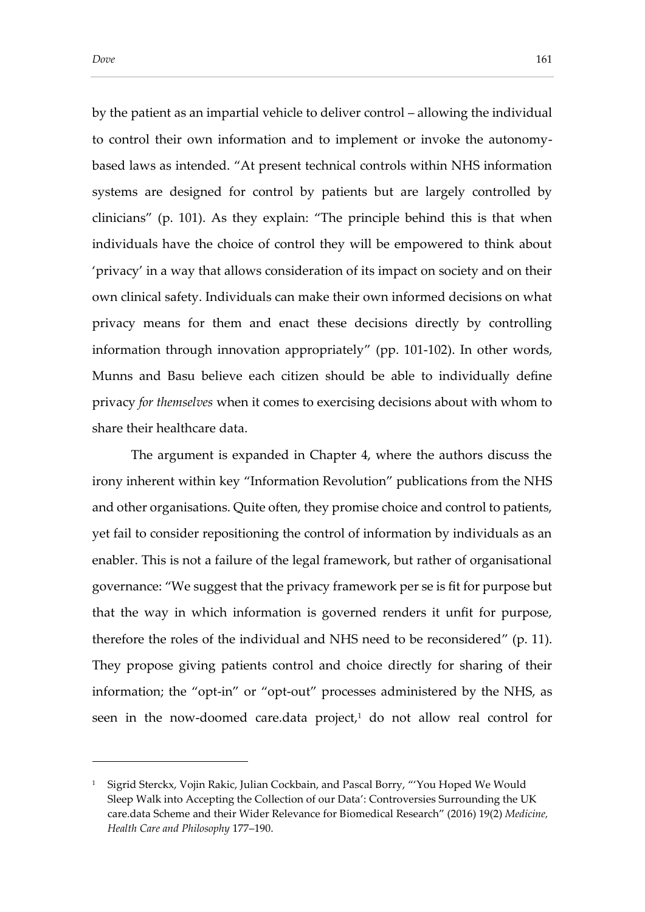-

by the patient as an impartial vehicle to deliver control – allowing the individual to control their own information and to implement or invoke the autonomybased laws as intended. "At present technical controls within NHS information systems are designed for control by patients but are largely controlled by clinicians" (p. 101). As they explain: "The principle behind this is that when individuals have the choice of control they will be empowered to think about 'privacy' in a way that allows consideration of its impact on society and on their own clinical safety. Individuals can make their own informed decisions on what privacy means for them and enact these decisions directly by controlling information through innovation appropriately" (pp. 101-102). In other words, Munns and Basu believe each citizen should be able to individually define privacy *for themselves* when it comes to exercising decisions about with whom to share their healthcare data.

The argument is expanded in Chapter 4, where the authors discuss the irony inherent within key "Information Revolution" publications from the NHS and other organisations. Quite often, they promise choice and control to patients, yet fail to consider repositioning the control of information by individuals as an enabler. This is not a failure of the legal framework, but rather of organisational governance: "We suggest that the privacy framework per se is fit for purpose but that the way in which information is governed renders it unfit for purpose, therefore the roles of the individual and NHS need to be reconsidered" (p. 11). They propose giving patients control and choice directly for sharing of their information; the "opt-in" or "opt-out" processes administered by the NHS, as seen in the now-doomed care.data project,<sup>1</sup> do not allow real control for

<sup>&</sup>lt;sup>1</sup> Sigrid Sterckx, Vojin Rakic, Julian Cockbain, and Pascal Borry, "'You Hoped We Would Sleep Walk into Accepting the Collection of our Data': Controversies Surrounding the UK care.data Scheme and their Wider Relevance for Biomedical Research" (2016) 19(2) *Medicine, Health Care and Philosophy* 177–190.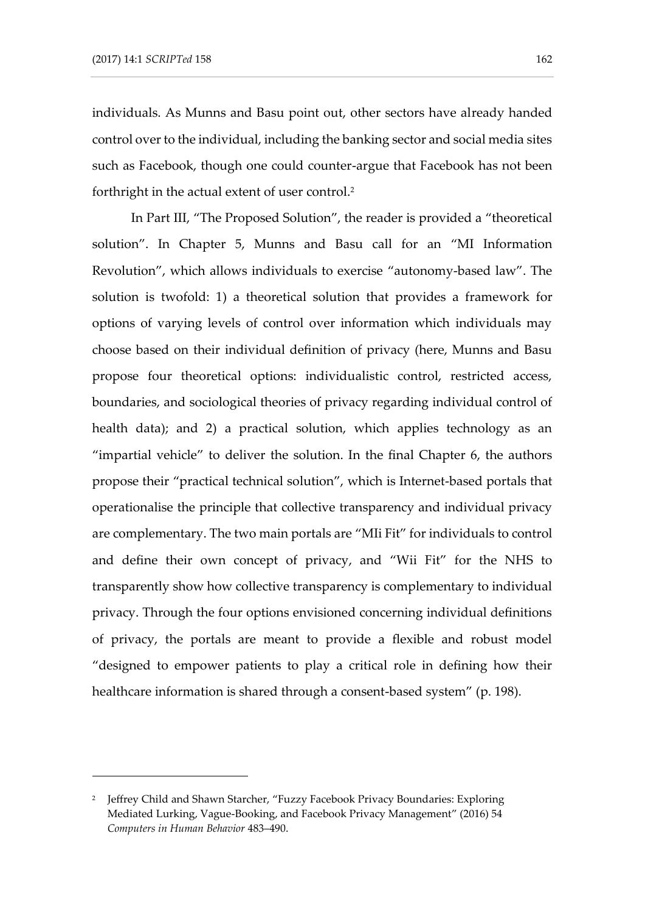-

individuals. As Munns and Basu point out, other sectors have already handed control over to the individual, including the banking sector and social media sites such as Facebook, though one could counter-argue that Facebook has not been forthright in the actual extent of user control.<sup>2</sup>

In Part III, "The Proposed Solution", the reader is provided a "theoretical solution". In Chapter 5, Munns and Basu call for an "MI Information Revolution", which allows individuals to exercise "autonomy-based law". The solution is twofold: 1) a theoretical solution that provides a framework for options of varying levels of control over information which individuals may choose based on their individual definition of privacy (here, Munns and Basu propose four theoretical options: individualistic control, restricted access, boundaries, and sociological theories of privacy regarding individual control of health data); and 2) a practical solution, which applies technology as an "impartial vehicle" to deliver the solution. In the final Chapter 6, the authors propose their "practical technical solution", which is Internet-based portals that operationalise the principle that collective transparency and individual privacy are complementary. The two main portals are "MIi Fit" for individuals to control and define their own concept of privacy, and "Wii Fit" for the NHS to transparently show how collective transparency is complementary to individual privacy. Through the four options envisioned concerning individual definitions of privacy, the portals are meant to provide a flexible and robust model "designed to empower patients to play a critical role in defining how their healthcare information is shared through a consent-based system" (p. 198).

<sup>2</sup> Jeffrey Child and Shawn Starcher, "Fuzzy Facebook Privacy Boundaries: Exploring Mediated Lurking, Vague-Booking, and Facebook Privacy Management" (2016) 54 *Computers in Human Behavior* 483–490.